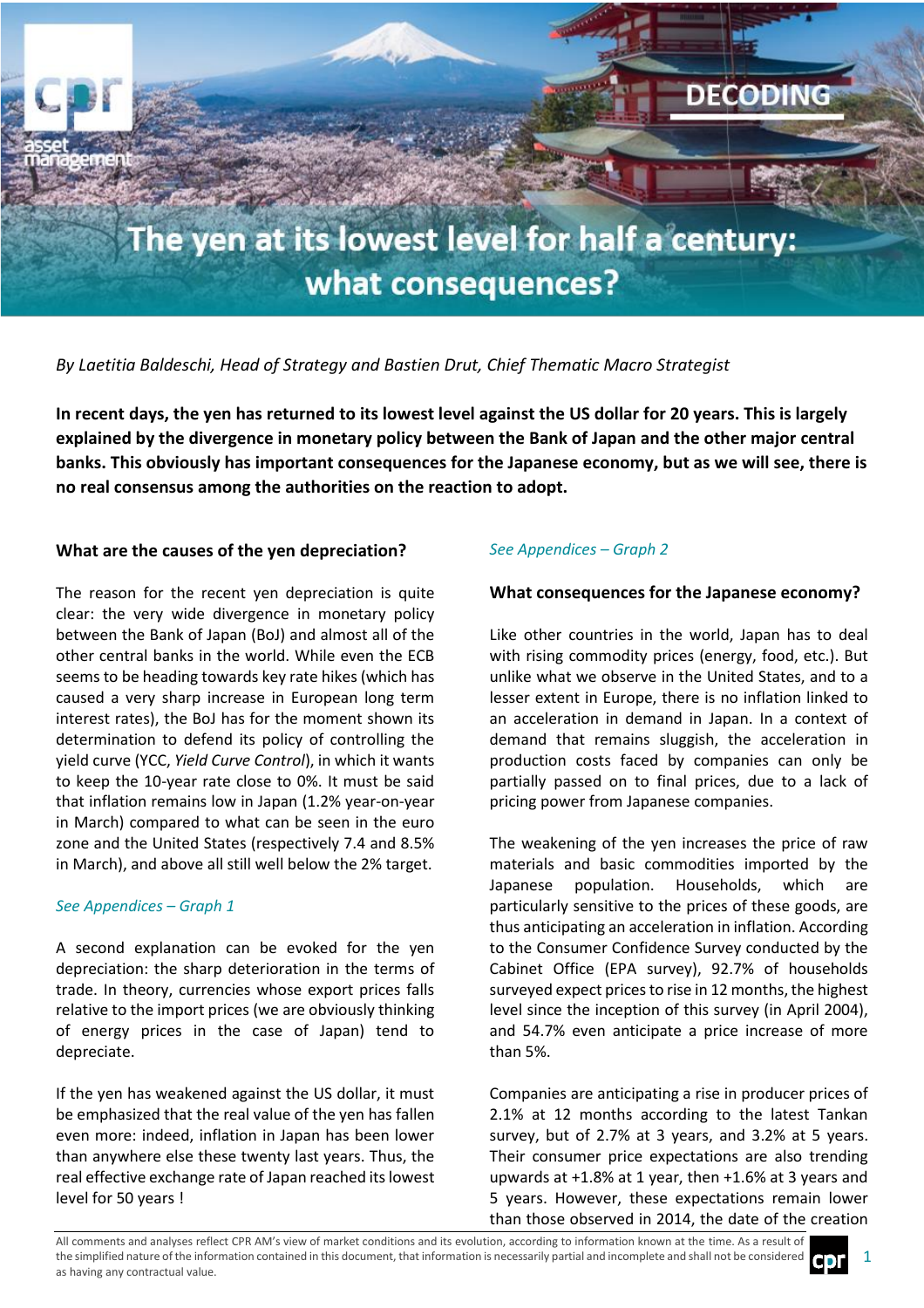

# *By Laetitia Baldeschi, Head of Strategy and Bastien Drut, Chief Thematic Macro Strategist*

**In recent days, the yen has returned to its lowest level against the US dollar for 20 years. This is largely explained by the divergence in monetary policy between the Bank of Japan and the other major central banks. This obviously has important consequences for the Japanese economy, but as we will see, there is no real consensus among the authorities on the reaction to adopt.**

### **What are the causes of the yen depreciation?**

The reason for the recent yen depreciation is quite clear: the very wide divergence in monetary policy between the Bank of Japan (BoJ) and almost all of the other central banks in the world. While even the ECB seems to be heading towards key rate hikes (which has caused a very sharp increase in European long term interest rates), the BoJ has for the moment shown its determination to defend its policy of controlling the yield curve (YCC, *Yield Curve Control*), in which it wants to keep the 10-year rate close to 0%. It must be said that inflation remains low in Japan (1.2% year-on-year in March) compared to what can be seen in the euro zone and the United States (respectively 7.4 and 8.5% in March), and above all still well below the 2% target.

#### *See Appendices – Graph 1*

A second explanation can be evoked for the yen depreciation: the sharp deterioration in the terms of trade. In theory, currencies whose export prices falls relative to the import prices (we are obviously thinking of energy prices in the case of Japan) tend to depreciate.

If the yen has weakened against the US dollar, it must be emphasized that the real value of the yen has fallen even more: indeed, inflation in Japan has been lower than anywhere else these twenty last years. Thus, the real effective exchange rate of Japan reached its lowest level for 50 years !

# *See Appendices – Graph 2*

### **What consequences for the Japanese economy?**

Like other countries in the world, Japan has to deal with rising commodity prices (energy, food, etc.). But unlike what we observe in the United States, and to a lesser extent in Europe, there is no inflation linked to an acceleration in demand in Japan. In a context of demand that remains sluggish, the acceleration in production costs faced by companies can only be partially passed on to final prices, due to a lack of pricing power from Japanese companies.

The weakening of the yen increases the price of raw materials and basic commodities imported by the Japanese population. Households, which are particularly sensitive to the prices of these goods, are thus anticipating an acceleration in inflation. According to the Consumer Confidence Survey conducted by the Cabinet Office (EPA survey), 92.7% of households surveyed expect prices to rise in 12 months, the highest level since the inception of this survey (in April 2004), and 54.7% even anticipate a price increase of more than 5%.

Companies are anticipating a rise in producer prices of 2.1% at 12 months according to the latest Tankan survey, but of 2.7% at 3 years, and 3.2% at 5 years. Their consumer price expectations are also trending upwards at +1.8% at 1 year, then +1.6% at 3 years and 5 years. However, these expectations remain lower than those observed in 2014, the date of the creation

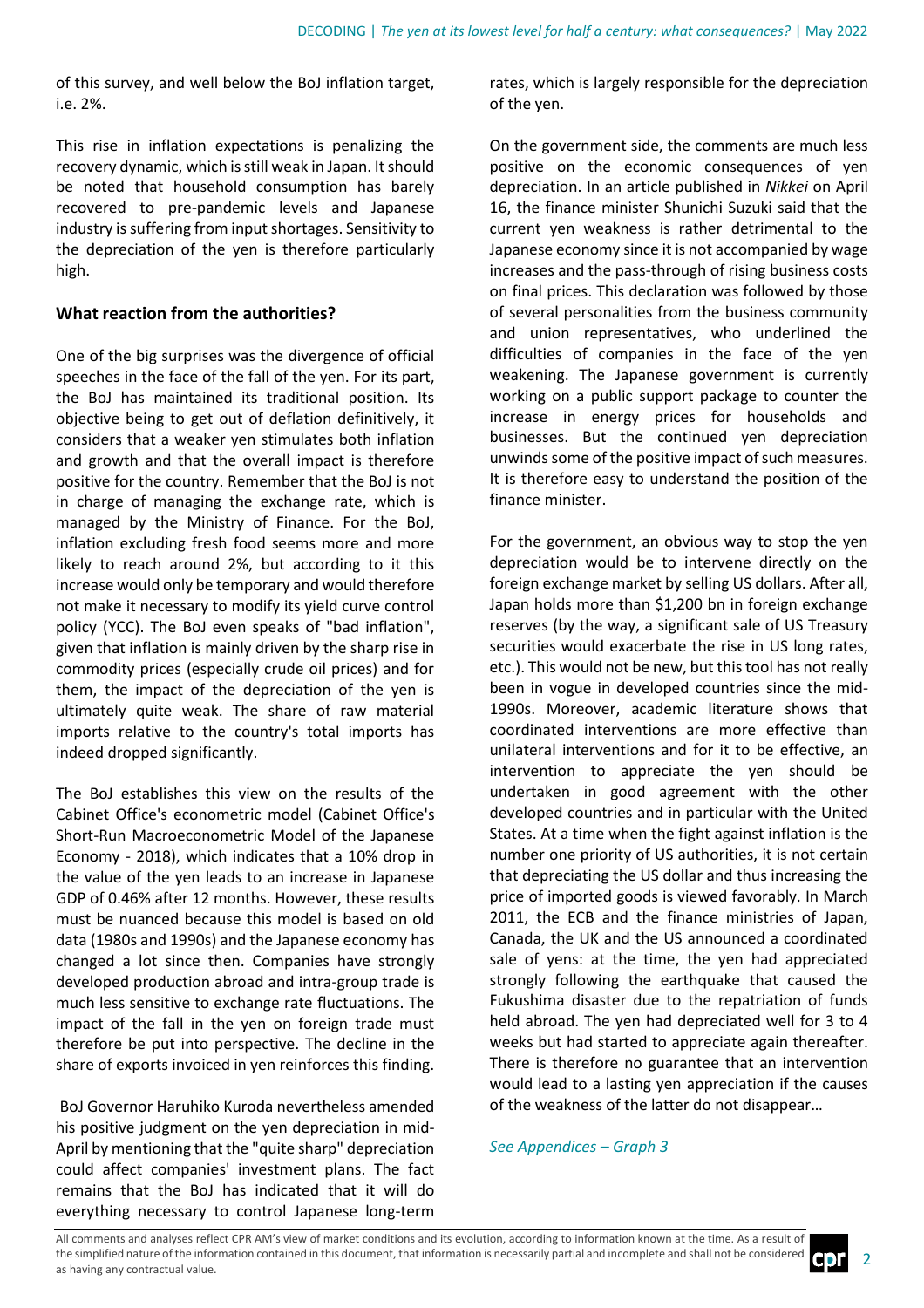of this survey, and well below the BoJ inflation target, i.e. 2%.

This rise in inflation expectations is penalizing the recovery dynamic, which is still weak in Japan. It should be noted that household consumption has barely recovered to pre-pandemic levels and Japanese industry is suffering from input shortages. Sensitivity to the depreciation of the yen is therefore particularly high.

# **What reaction from the authorities?**

One of the big surprises was the divergence of official speeches in the face of the fall of the yen. For its part, the BoJ has maintained its traditional position. Its objective being to get out of deflation definitively, it considers that a weaker yen stimulates both inflation and growth and that the overall impact is therefore positive for the country. Remember that the BoJ is not in charge of managing the exchange rate, which is managed by the Ministry of Finance. For the BoJ, inflation excluding fresh food seems more and more likely to reach around 2%, but according to it this increase would only be temporary and would therefore not make it necessary to modify its yield curve control policy (YCC). The BoJ even speaks of "bad inflation", given that inflation is mainly driven by the sharp rise in commodity prices (especially crude oil prices) and for them, the impact of the depreciation of the yen is ultimately quite weak. The share of raw material imports relative to the country's total imports has indeed dropped significantly.

The BoJ establishes this view on the results of the Cabinet Office's econometric model (Cabinet Office's Short-Run Macroeconometric Model of the Japanese Economy - 2018), which indicates that a 10% drop in the value of the yen leads to an increase in Japanese GDP of 0.46% after 12 months. However, these results must be nuanced because this model is based on old data (1980s and 1990s) and the Japanese economy has changed a lot since then. Companies have strongly developed production abroad and intra-group trade is much less sensitive to exchange rate fluctuations. The impact of the fall in the yen on foreign trade must therefore be put into perspective. The decline in the share of exports invoiced in yen reinforces this finding.

BoJ Governor Haruhiko Kuroda nevertheless amended his positive judgment on the yen depreciation in mid-April by mentioning that the "quite sharp" depreciation could affect companies' investment plans. The fact remains that the BoJ has indicated that it will do everything necessary to control Japanese long-term

rates, which is largely responsible for the depreciation of the yen.

On the government side, the comments are much less positive on the economic consequences of yen depreciation. In an article published in *Nikkei* on April 16, the finance minister Shunichi Suzuki said that the current yen weakness is rather detrimental to the Japanese economy since it is not accompanied by wage increases and the pass-through of rising business costs on final prices. This declaration was followed by those of several personalities from the business community and union representatives, who underlined the difficulties of companies in the face of the yen weakening. The Japanese government is currently working on a public support package to counter the increase in energy prices for households and businesses. But the continued yen depreciation unwinds some of the positive impact of such measures. It is therefore easy to understand the position of the finance minister.

For the government, an obvious way to stop the yen depreciation would be to intervene directly on the foreign exchange market by selling US dollars. After all, Japan holds more than \$1,200 bn in foreign exchange reserves (by the way, a significant sale of US Treasury securities would exacerbate the rise in US long rates, etc.). This would not be new, but this tool has not really been in vogue in developed countries since the mid-1990s. Moreover, academic literature shows that coordinated interventions are more effective than unilateral interventions and for it to be effective, an intervention to appreciate the yen should be undertaken in good agreement with the other developed countries and in particular with the United States. At a time when the fight against inflation is the number one priority of US authorities, it is not certain that depreciating the US dollar and thus increasing the price of imported goods is viewed favorably. In March 2011, the ECB and the finance ministries of Japan, Canada, the UK and the US announced a coordinated sale of yens: at the time, the yen had appreciated strongly following the earthquake that caused the Fukushima disaster due to the repatriation of funds held abroad. The yen had depreciated well for 3 to 4 weeks but had started to appreciate again thereafter. There is therefore no guarantee that an intervention would lead to a lasting yen appreciation if the causes of the weakness of the latter do not disappear…

# *See Appendices – Graph 3*

All comments and analyses reflect CPR AM's view of market conditions and its evolution, according to information known at the time. As a result of the simplified nature of the information contained in this document, that information is necessarily partial and incomplete and shall not be considered as having any contractual value.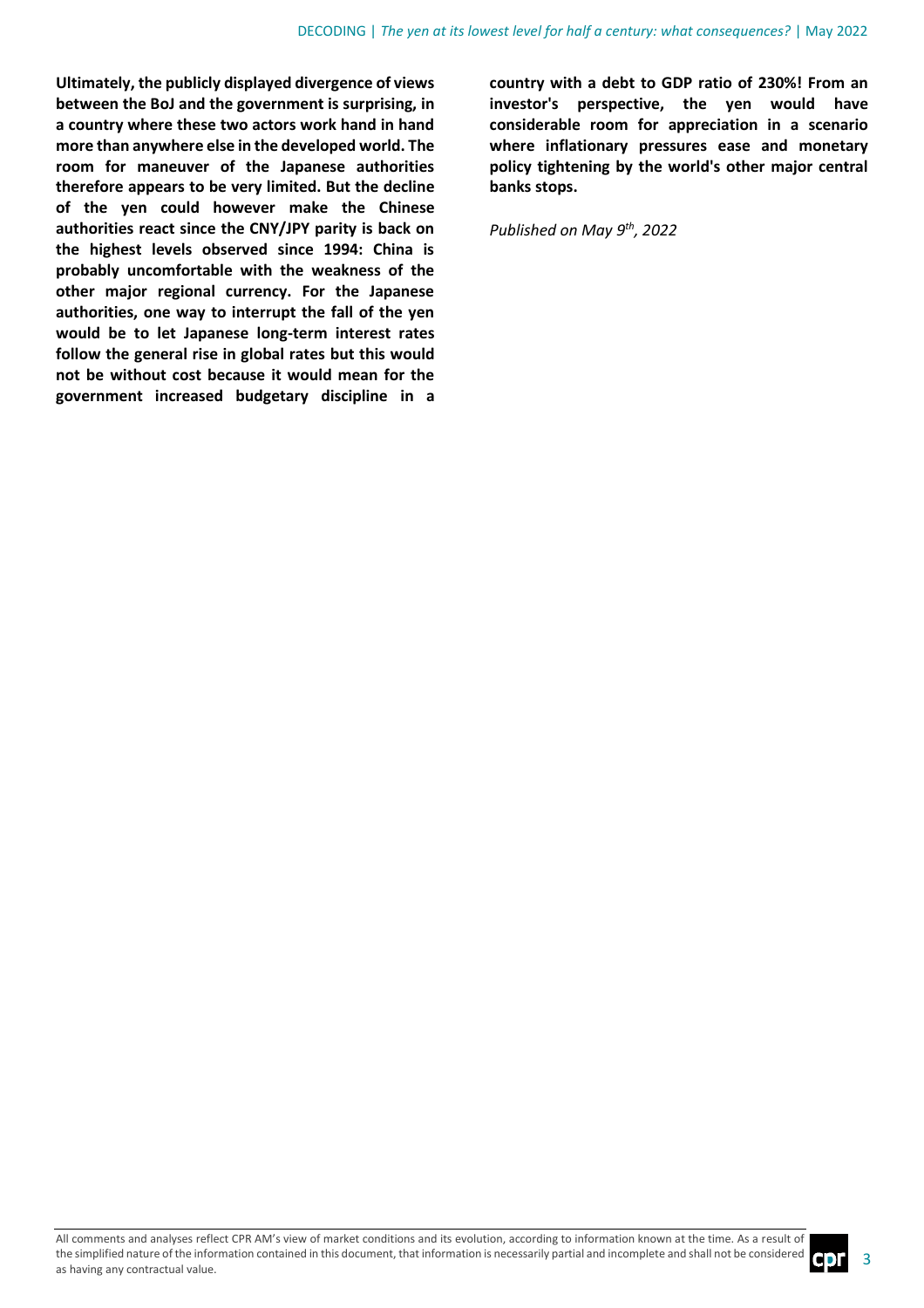**Ultimately, the publicly displayed divergence of views between the BoJ and the government is surprising, in a country where these two actors work hand in hand more than anywhere else in the developed world. The room for maneuver of the Japanese authorities therefore appears to be very limited. But the decline of the yen could however make the Chinese authorities react since the CNY/JPY parity is back on the highest levels observed since 1994: China is probably uncomfortable with the weakness of the other major regional currency. For the Japanese authorities, one way to interrupt the fall of the yen would be to let Japanese long-term interest rates follow the general rise in global rates but this would not be without cost because it would mean for the government increased budgetary discipline in a**  **country with a debt to GDP ratio of 230%! From an investor's perspective, the yen would have considerable room for appreciation in a scenario where inflationary pressures ease and monetary policy tightening by the world's other major central banks stops.**

*Published on May 9 th , 2022*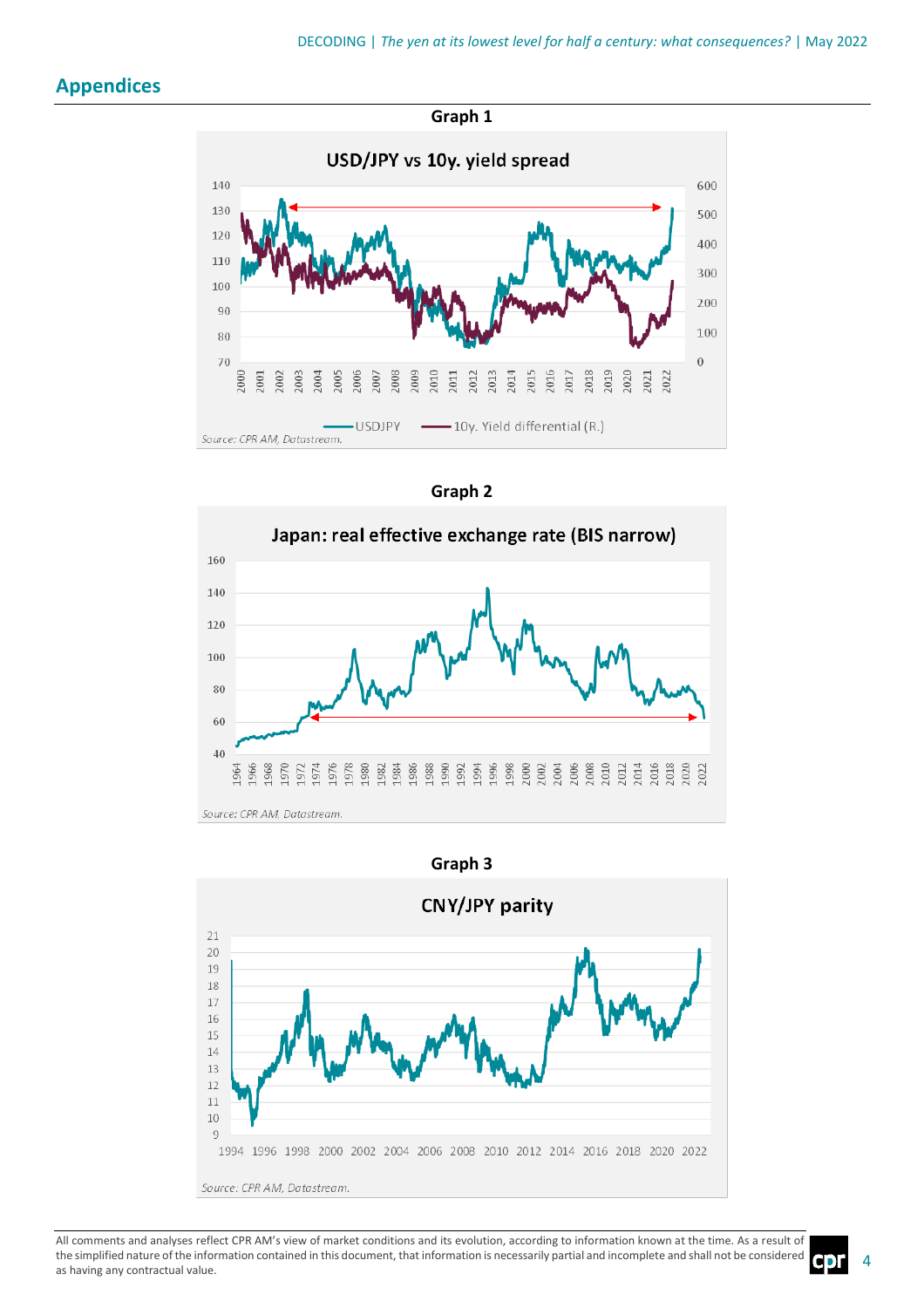# **Appendices**







Source: CPR AM, Datastream.



All comments and analyses reflect CPR AM's view of market conditions and its evolution, according to information known at the time. As a result of the simplified nature of the information contained in this document, that information is necessarily partial and incomplete and shall not be considered as having any contractual value.

4

C